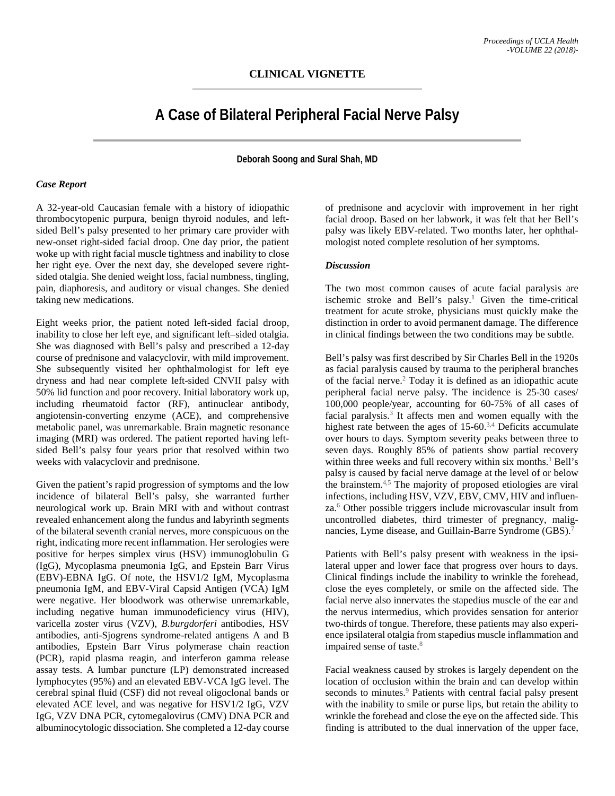## **A Case of Bilateral Peripheral Facial Nerve Palsy**

**Deborah Soong and Sural Shah, MD**

## *Case Report*

A 32-year-old Caucasian female with a history of idiopathic thrombocytopenic purpura, benign thyroid nodules, and leftsided Bell's palsy presented to her primary care provider with new-onset right-sided facial droop. One day prior, the patient woke up with right facial muscle tightness and inability to close her right eye. Over the next day, she developed severe rightsided otalgia. She denied weight loss, facial numbness, tingling, pain, diaphoresis, and auditory or visual changes. She denied taking new medications.

Eight weeks prior, the patient noted left-sided facial droop, inability to close her left eye, and significant left–sided otalgia. She was diagnosed with Bell's palsy and prescribed a 12-day course of prednisone and valacyclovir, with mild improvement. She subsequently visited her ophthalmologist for left eye dryness and had near complete left-sided CNVII palsy with 50% lid function and poor recovery. Initial laboratory work up, including rheumatoid factor (RF), antinuclear antibody, angiotensin-converting enzyme (ACE), and comprehensive metabolic panel, was unremarkable. Brain magnetic resonance imaging (MRI) was ordered. The patient reported having leftsided Bell's palsy four years prior that resolved within two weeks with valacyclovir and prednisone.

Given the patient's rapid progression of symptoms and the low incidence of bilateral Bell's palsy, she warranted further neurological work up. Brain MRI with and without contrast revealed enhancement along the fundus and labyrinth segments of the bilateral seventh cranial nerves, more conspicuous on the right, indicating more recent inflammation. Her serologies were positive for herpes simplex virus (HSV) immunoglobulin G (IgG), Mycoplasma pneumonia IgG, and Epstein Barr Virus (EBV)-EBNA IgG. Of note, the HSV1/2 IgM, Mycoplasma pneumonia IgM, and EBV-Viral Capsid Antigen (VCA) IgM were negative. Her bloodwork was otherwise unremarkable, including negative human immunodeficiency virus (HIV), varicella zoster virus (VZV), *B.burgdorferi* antibodies, HSV antibodies, anti-Sjogrens syndrome-related antigens A and B antibodies, Epstein Barr Virus polymerase chain reaction (PCR), rapid plasma reagin, and interferon gamma release assay tests. A lumbar puncture (LP) demonstrated increased lymphocytes (95%) and an elevated EBV-VCA IgG level. The cerebral spinal fluid (CSF) did not reveal oligoclonal bands or elevated ACE level, and was negative for HSV1/2 IgG, VZV IgG, VZV DNA PCR, cytomegalovirus (CMV) DNA PCR and albuminocytologic dissociation. She completed a 12-day course

of prednisone and acyclovir with improvement in her right facial droop. Based on her labwork, it was felt that her Bell's palsy was likely EBV-related. Two months later, her ophthalmologist noted complete resolution of her symptoms.

## *Discussion*

The two most common causes of acute facial paralysis are ischemic stroke and Bell's palsy.<sup>1</sup> Given the time-critical treatment for acute stroke, physicians must quickly make the distinction in order to avoid permanent damage. The difference in clinical findings between the two conditions may be subtle.

Bell's palsy was first described by Sir Charles Bell in the 1920s as facial paralysis caused by trauma to the peripheral branches of the facial nerve.2 Today it is defined as an idiopathic acute peripheral facial nerve palsy. The incidence is 25-30 cases/ 100,000 people/year, accounting for 60-75% of all cases of facial paralysis. $3$  It affects men and women equally with the highest rate between the ages of  $15{\text -}60^{3,4}$  Deficits accumulate over hours to days. Symptom severity peaks between three to seven days. Roughly 85% of patients show partial recovery within three weeks and full recovery within six months.<sup>1</sup> Bell's palsy is caused by facial nerve damage at the level of or below the brainstem.4,5 The majority of proposed etiologies are viral infections, including HSV, VZV, EBV, CMV, HIV and influenza.6 Other possible triggers include microvascular insult from uncontrolled diabetes, third trimester of pregnancy, malignancies, Lyme disease, and Guillain-Barre Syndrome (GBS).<sup>7</sup>

Patients with Bell's palsy present with weakness in the ipsilateral upper and lower face that progress over hours to days. Clinical findings include the inability to wrinkle the forehead, close the eyes completely, or smile on the affected side. The facial nerve also innervates the stapedius muscle of the ear and the nervus intermedius, which provides sensation for anterior two-thirds of tongue. Therefore, these patients may also experience ipsilateral otalgia from stapedius muscle inflammation and impaired sense of taste.<sup>8</sup>

Facial weakness caused by strokes is largely dependent on the location of occlusion within the brain and can develop within seconds to minutes.<sup>9</sup> Patients with central facial palsy present with the inability to smile or purse lips, but retain the ability to wrinkle the forehead and close the eye on the affected side. This finding is attributed to the dual innervation of the upper face,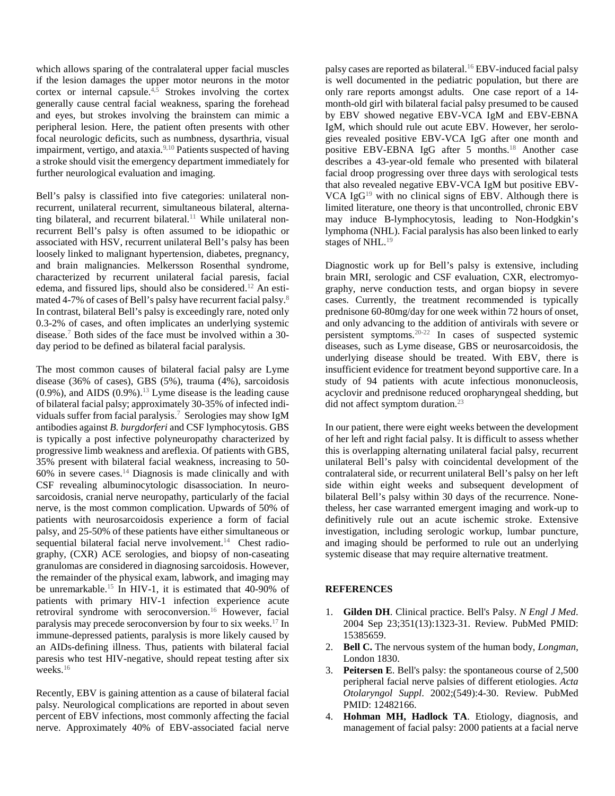which allows sparing of the contralateral upper facial muscles if the lesion damages the upper motor neurons in the motor cortex or internal capsule. $4,5$  Strokes involving the cortex generally cause central facial weakness, sparing the forehead and eyes, but strokes involving the brainstem can mimic a peripheral lesion. Here, the patient often presents with other focal neurologic deficits, such as numbness, dysarthria, visual impairment, vertigo, and ataxia.<sup>9,10</sup> Patients suspected of having a stroke should visit the emergency department immediately for further neurological evaluation and imaging.

Bell's palsy is classified into five categories: unilateral nonrecurrent, unilateral recurrent, simultaneous bilateral, alternating bilateral, and recurrent bilateral.<sup>11</sup> While unilateral nonrecurrent Bell's palsy is often assumed to be idiopathic or associated with HSV, recurrent unilateral Bell's palsy has been loosely linked to malignant hypertension, diabetes, pregnancy, and brain malignancies. Melkersson Rosenthal syndrome, characterized by recurrent unilateral facial paresis, facial edema, and fissured lips, should also be considered.12 An estimated 4-7% of cases of Bell's palsy have recurrent facial palsy.8 In contrast, bilateral Bell's palsy is exceedingly rare, noted only 0.3-2% of cases, and often implicates an underlying systemic disease.7 Both sides of the face must be involved within a 30 day period to be defined as bilateral facial paralysis.

The most common causes of bilateral facial palsy are Lyme disease (36% of cases), GBS (5%), trauma (4%), sarcoidosis  $(0.9\%)$ , and AIDS  $(0.9\%)$ .<sup>13</sup> Lyme disease is the leading cause of bilateral facial palsy; approximately 30-35% of infected individuals suffer from facial paralysis.<sup>7</sup> Serologies may show IgM antibodies against *B. burgdorferi* and CSF lymphocytosis. GBS is typically a post infective polyneuropathy characterized by progressive limb weakness and areflexia. Of patients with GBS, 35% present with bilateral facial weakness, increasing to 50-  $60\%$  in severe cases.<sup>14</sup> Diagnosis is made clinically and with CSF revealing albuminocytologic disassociation. In neurosarcoidosis, cranial nerve neuropathy, particularly of the facial nerve, is the most common complication. Upwards of 50% of patients with neurosarcoidosis experience a form of facial palsy, and 25-50% of these patients have either simultaneous or sequential bilateral facial nerve involvement.<sup>14</sup> Chest radiography, (CXR) ACE serologies, and biopsy of non-caseating granulomas are considered in diagnosing sarcoidosis. However, the remainder of the physical exam, labwork, and imaging may be unremarkable.<sup>15</sup> In HIV-1, it is estimated that 40-90% of patients with primary HIV-1 infection experience acute retroviral syndrome with seroconversion.16 However, facial paralysis may precede seroconversion by four to six weeks.17 In immune-depressed patients, paralysis is more likely caused by an AIDs-defining illness. Thus, patients with bilateral facial paresis who test HIV-negative, should repeat testing after six weeks.<sup>16</sup>

Recently, EBV is gaining attention as a cause of bilateral facial palsy. Neurological complications are reported in about seven percent of EBV infections, most commonly affecting the facial nerve. Approximately 40% of EBV-associated facial nerve

palsy cases are reported as bilateral.16 EBV-induced facial palsy is well documented in the pediatric population, but there are only rare reports amongst adults. One case report of a 14 month-old girl with bilateral facial palsy presumed to be caused by EBV showed negative EBV-VCA IgM and EBV-EBNA IgM, which should rule out acute EBV. However, her serologies revealed positive EBV-VCA IgG after one month and positive EBV-EBNA IgG after 5 months.<sup>18</sup> Another case describes a 43-year-old female who presented with bilateral facial droop progressing over three days with serological tests that also revealed negative EBV-VCA IgM but positive EBV-VCA Ig $G^{19}$  with no clinical signs of EBV. Although there is limited literature, one theory is that uncontrolled, chronic EBV may induce B-lymphocytosis, leading to Non-Hodgkin's lymphoma (NHL). Facial paralysis has also been linked to early stages of NHL.<sup>19</sup>

Diagnostic work up for Bell's palsy is extensive, including brain MRI, serologic and CSF evaluation, CXR, electromyography, nerve conduction tests, and organ biopsy in severe cases. Currently, the treatment recommended is typically prednisone 60-80mg/day for one week within 72 hours of onset, and only advancing to the addition of antivirals with severe or persistent symptoms.20-22 In cases of suspected systemic diseases, such as Lyme disease, GBS or neurosarcoidosis, the underlying disease should be treated. With EBV, there is insufficient evidence for treatment beyond supportive care. In a study of 94 patients with acute infectious mononucleosis, acyclovir and prednisone reduced oropharyngeal shedding, but did not affect symptom duration.<sup>23</sup>

In our patient, there were eight weeks between the development of her left and right facial palsy. It is difficult to assess whether this is overlapping alternating unilateral facial palsy, recurrent unilateral Bell's palsy with coincidental development of the contralateral side, or recurrent unilateral Bell's palsy on her left side within eight weeks and subsequent development of bilateral Bell's palsy within 30 days of the recurrence. Nonetheless, her case warranted emergent imaging and work-up to definitively rule out an acute ischemic stroke. Extensive investigation, including serologic workup, lumbar puncture, and imaging should be performed to rule out an underlying systemic disease that may require alternative treatment.

## **REFERENCES**

- 1. **Gilden DH**. Clinical practice. Bell's Palsy. *N Engl J Med*. 2004 Sep 23;351(13):1323-31. Review. PubMed PMID: 15385659.
- 2. **Bell C.** The nervous system of the human body, *Longman*, London 1830.
- 3. **Peitersen E**. Bell's palsy: the spontaneous course of 2,500 peripheral facial nerve palsies of different etiologies. *Acta Otolaryngol Suppl*. 2002;(549):4-30. Review. PubMed PMID: 12482166.
- 4. **Hohman MH, Hadlock TA**. Etiology, diagnosis, and management of facial palsy: 2000 patients at a facial nerve